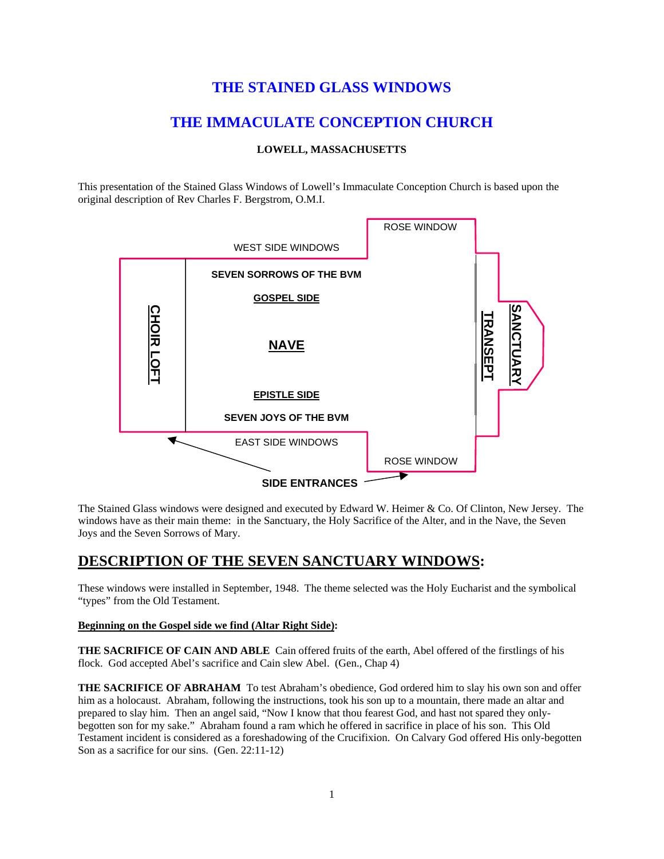## **THE STAINED GLASS WINDOWS**

## **THE IMMACULATE CONCEPTION CHURCH**

### **LOWELL, MASSACHUSETTS**

This presentation of the Stained Glass Windows of Lowell's Immaculate Conception Church is based upon the original description of Rev Charles F. Bergstrom, O.M.I.



The Stained Glass windows were designed and executed by Edward W. Heimer & Co. Of Clinton, New Jersey. The windows have as their main theme: in the Sanctuary, the Holy Sacrifice of the Alter, and in the Nave, the Seven Joys and the Seven Sorrows of Mary.

## **DESCRIPTION OF THE SEVEN SANCTUARY WINDOWS:**

These windows were installed in September, 1948. The theme selected was the Holy Eucharist and the symbolical "types" from the Old Testament.

### **Beginning on the Gospel side we find (Altar Right Side):**

**THE SACRIFICE OF CAIN AND ABLE** Cain offered fruits of the earth, Abel offered of the firstlings of his flock. God accepted Abel's sacrifice and Cain slew Abel. (Gen., Chap 4)

**THE SACRIFICE OF ABRAHAM** To test Abraham's obedience, God ordered him to slay his own son and offer him as a holocaust. Abraham, following the instructions, took his son up to a mountain, there made an altar and prepared to slay him. Then an angel said, "Now I know that thou fearest God, and hast not spared they onlybegotten son for my sake." Abraham found a ram which he offered in sacrifice in place of his son. This Old Testament incident is considered as a foreshadowing of the Crucifixion. On Calvary God offered His only-begotten Son as a sacrifice for our sins. (Gen. 22:11-12)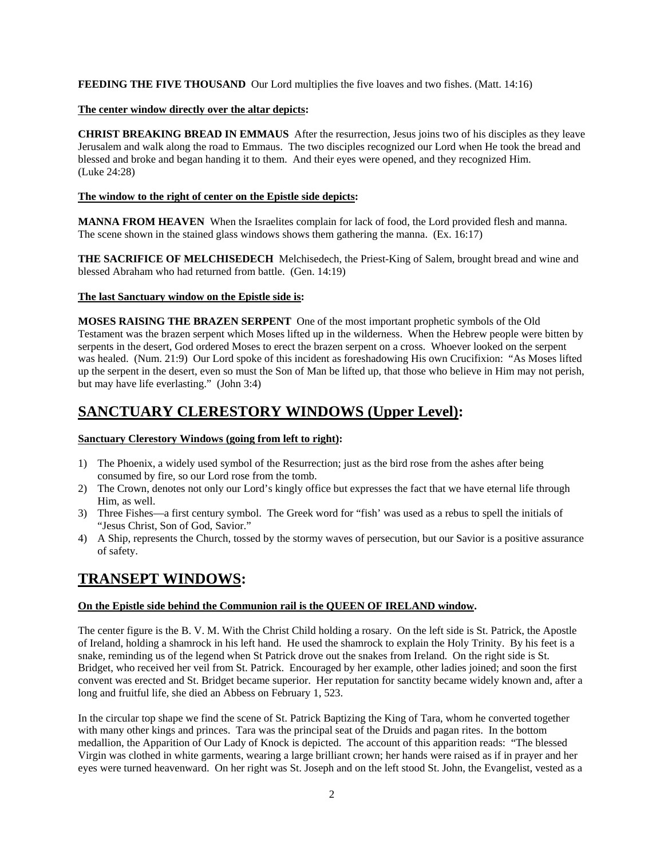**FEEDING THE FIVE THOUSAND** Our Lord multiplies the five loaves and two fishes. (Matt. 14:16)

### **The center window directly over the altar depicts:**

**CHRIST BREAKING BREAD IN EMMAUS** After the resurrection, Jesus joins two of his disciples as they leave Jerusalem and walk along the road to Emmaus. The two disciples recognized our Lord when He took the bread and blessed and broke and began handing it to them. And their eyes were opened, and they recognized Him. (Luke 24:28)

### **The window to the right of center on the Epistle side depicts:**

**MANNA FROM HEAVEN** When the Israelites complain for lack of food, the Lord provided flesh and manna. The scene shown in the stained glass windows shows them gathering the manna. (Ex. 16:17)

**THE SACRIFICE OF MELCHISEDECH** Melchisedech, the Priest-King of Salem, brought bread and wine and blessed Abraham who had returned from battle. (Gen. 14:19)

### **The last Sanctuary window on the Epistle side is:**

**MOSES RAISING THE BRAZEN SERPENT** One of the most important prophetic symbols of the Old Testament was the brazen serpent which Moses lifted up in the wilderness. When the Hebrew people were bitten by serpents in the desert, God ordered Moses to erect the brazen serpent on a cross. Whoever looked on the serpent was healed. (Num. 21:9) Our Lord spoke of this incident as foreshadowing His own Crucifixion: "As Moses lifted up the serpent in the desert, even so must the Son of Man be lifted up, that those who believe in Him may not perish, but may have life everlasting." (John 3:4)

# **SANCTUARY CLERESTORY WINDOWS (Upper Level):**

### **Sanctuary Clerestory Windows (going from left to right):**

- 1) The Phoenix, a widely used symbol of the Resurrection; just as the bird rose from the ashes after being consumed by fire, so our Lord rose from the tomb.
- 2) The Crown, denotes not only our Lord's kingly office but expresses the fact that we have eternal life through Him, as well.
- 3) Three Fishes—a first century symbol. The Greek word for "fish' was used as a rebus to spell the initials of "Jesus Christ, Son of God, Savior."
- 4) A Ship, represents the Church, tossed by the stormy waves of persecution, but our Savior is a positive assurance of safety.

# **TRANSEPT WINDOWS:**

### **On the Epistle side behind the Communion rail is the QUEEN OF IRELAND window.**

The center figure is the B. V. M. With the Christ Child holding a rosary. On the left side is St. Patrick, the Apostle of Ireland, holding a shamrock in his left hand. He used the shamrock to explain the Holy Trinity. By his feet is a snake, reminding us of the legend when St Patrick drove out the snakes from Ireland. On the right side is St. Bridget, who received her veil from St. Patrick. Encouraged by her example, other ladies joined; and soon the first convent was erected and St. Bridget became superior. Her reputation for sanctity became widely known and, after a long and fruitful life, she died an Abbess on February 1, 523.

In the circular top shape we find the scene of St. Patrick Baptizing the King of Tara, whom he converted together with many other kings and princes. Tara was the principal seat of the Druids and pagan rites. In the bottom medallion, the Apparition of Our Lady of Knock is depicted. The account of this apparition reads: "The blessed Virgin was clothed in white garments, wearing a large brilliant crown; her hands were raised as if in prayer and her eyes were turned heavenward. On her right was St. Joseph and on the left stood St. John, the Evangelist, vested as a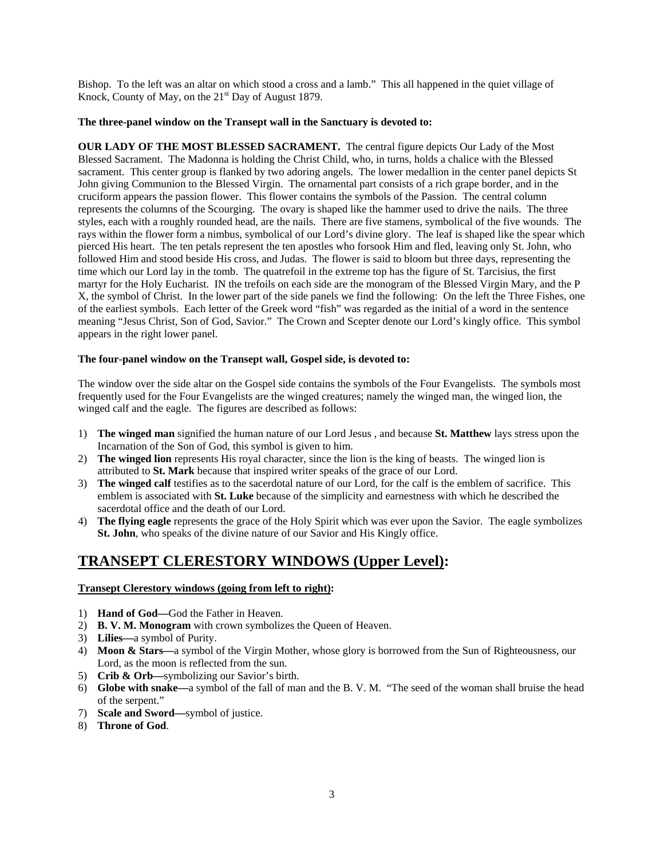Bishop. To the left was an altar on which stood a cross and a lamb." This all happened in the quiet village of Knock, County of May, on the  $21<sup>st</sup>$  Day of August 1879.

### **The three-panel window on the Transept wall in the Sanctuary is devoted to:**

**OUR LADY OF THE MOST BLESSED SACRAMENT.** The central figure depicts Our Lady of the Most Blessed Sacrament. The Madonna is holding the Christ Child, who, in turns, holds a chalice with the Blessed sacrament. This center group is flanked by two adoring angels. The lower medallion in the center panel depicts St John giving Communion to the Blessed Virgin. The ornamental part consists of a rich grape border, and in the cruciform appears the passion flower. This flower contains the symbols of the Passion. The central column represents the columns of the Scourging. The ovary is shaped like the hammer used to drive the nails. The three styles, each with a roughly rounded head, are the nails. There are five stamens, symbolical of the five wounds. The rays within the flower form a nimbus, symbolical of our Lord's divine glory. The leaf is shaped like the spear which pierced His heart. The ten petals represent the ten apostles who forsook Him and fled, leaving only St. John, who followed Him and stood beside His cross, and Judas. The flower is said to bloom but three days, representing the time which our Lord lay in the tomb. The quatrefoil in the extreme top has the figure of St. Tarcisius, the first martyr for the Holy Eucharist. IN the trefoils on each side are the monogram of the Blessed Virgin Mary, and the P X, the symbol of Christ. In the lower part of the side panels we find the following: On the left the Three Fishes, one of the earliest symbols. Each letter of the Greek word "fish" was regarded as the initial of a word in the sentence meaning "Jesus Christ, Son of God, Savior." The Crown and Scepter denote our Lord's kingly office. This symbol appears in the right lower panel.

### **The four-panel window on the Transept wall, Gospel side, is devoted to:**

The window over the side altar on the Gospel side contains the symbols of the Four Evangelists. The symbols most frequently used for the Four Evangelists are the winged creatures; namely the winged man, the winged lion, the winged calf and the eagle. The figures are described as follows:

- 1) **The winged man** signified the human nature of our Lord Jesus , and because **St. Matthew** lays stress upon the Incarnation of the Son of God, this symbol is given to him.
- 2) **The winged lion** represents His royal character, since the lion is the king of beasts. The winged lion is attributed to **St. Mark** because that inspired writer speaks of the grace of our Lord.
- 3) **The winged calf** testifies as to the sacerdotal nature of our Lord, for the calf is the emblem of sacrifice. This emblem is associated with **St. Luke** because of the simplicity and earnestness with which he described the sacerdotal office and the death of our Lord.
- 4) **The flying eagle** represents the grace of the Holy Spirit which was ever upon the Savior. The eagle symbolizes **St. John**, who speaks of the divine nature of our Savior and His Kingly office.

## **TRANSEPT CLERESTORY WINDOWS (Upper Level):**

### **Transept Clerestory windows (going from left to right):**

- 1) **Hand of God—**God the Father in Heaven.
- 2) **B. V. M. Monogram** with crown symbolizes the Queen of Heaven.
- 3) **Lilies—**a symbol of Purity.
- 4) **Moon & Stars—**a symbol of the Virgin Mother, whose glory is borrowed from the Sun of Righteousness, our Lord, as the moon is reflected from the sun.
- 5) **Crib & Orb—**symbolizing our Savior's birth.
- 6) **Globe with snake—**a symbol of the fall of man and the B. V. M. "The seed of the woman shall bruise the head of the serpent."
- 7) **Scale and Sword—**symbol of justice.
- 8) **Throne of God**.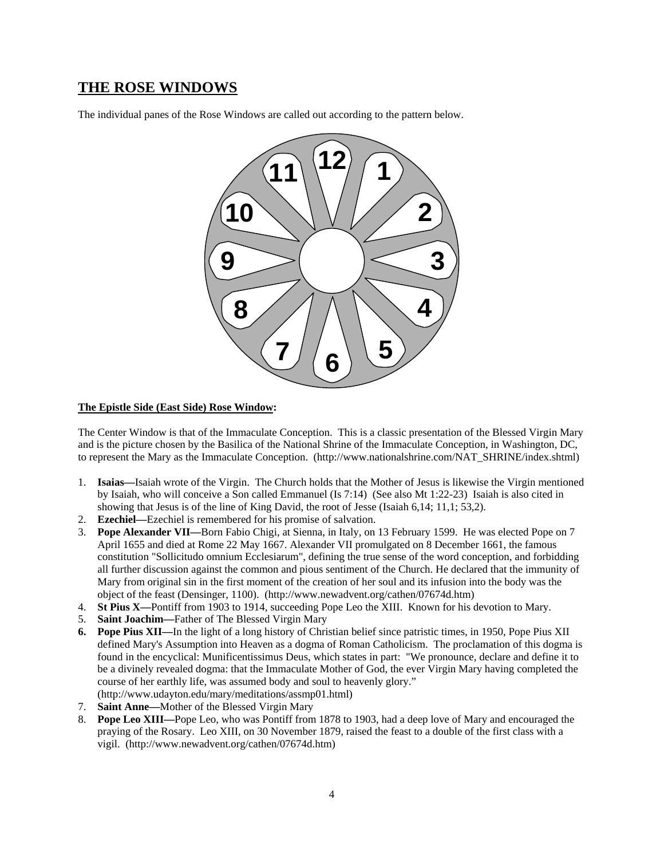## **THE ROSE WINDOWS**

The individual panes of the Rose Windows are called out according to the pattern below.



#### **The Epistle Side (East Side) Rose Window:**

The Center Window is that of the Immaculate Conception. This is a classic presentation of the Blessed Virgin Mary and is the picture chosen by the Basilica of the National Shrine of the Immaculate Conception, in Washington, DC, to represent the Mary as the Immaculate Conception. (http://www.nationalshrine.com/NAT\_SHRINE/index.shtml)

- 1. **Isaias—**Isaiah wrote of the Virgin. The Church holds that the Mother of Jesus is likewise the Virgin mentioned by Isaiah, who will conceive a Son called Emmanuel (Is 7:14) (See also Mt 1:22-23) Isaiah is also cited in showing that Jesus is of the line of King David, the root of Jesse (Isaiah 6,14; 11,1; 53,2).
- 2. **Ezechiel—**Ezechiel is remembered for his promise of salvation.
- 3. **Pope Alexander VII—**Born Fabio Chigi, at Sienna, in Italy, on 13 February 1599. He was elected Pope on 7 April 1655 and died at Rome 22 May 1667. Alexander VII promulgated on 8 December 1661, the famous constitution "Sollicitudo omnium Ecclesiarum", defining the true sense of the word conception, and forbidding all further discussion against the common and pious sentiment of the Church. He declared that the immunity of Mary from original sin in the first moment of the creation of her soul and its infusion into the body was the object of the feast (Densinger, 1100). (http://www.newadvent.org/cathen/07674d.htm)
- 4. **St Pius X—**Pontiff from 1903 to 1914, succeeding Pope Leo the XIII. Known for his devotion to Mary.
- 5. **Saint Joachim—**Father of The Blessed Virgin Mary
- **6. Pope Pius XII—**In the light of a long history of Christian belief since patristic times, in 1950, Pope Pius XII defined Mary's Assumption into Heaven as a dogma of Roman Catholicism. The proclamation of this dogma is found in the encyclical: Munificentissimus Deus, which states in part: "We pronounce, declare and define it to be a divinely revealed dogma: that the Immaculate Mother of God, the ever Virgin Mary having completed the course of her earthly life, was assumed body and soul to heavenly glory." (http://www.udayton.edu/mary/meditations/assmp01.html)
- 7. **Saint Anne—**Mother of the Blessed Virgin Mary
- 8. **Pope Leo XIII—**Pope Leo, who was Pontiff from 1878 to 1903, had a deep love of Mary and encouraged the praying of the Rosary. Leo XIII, on 30 November 1879, raised the feast to a double of the first class with a vigil. (http://www.newadvent.org/cathen/07674d.htm)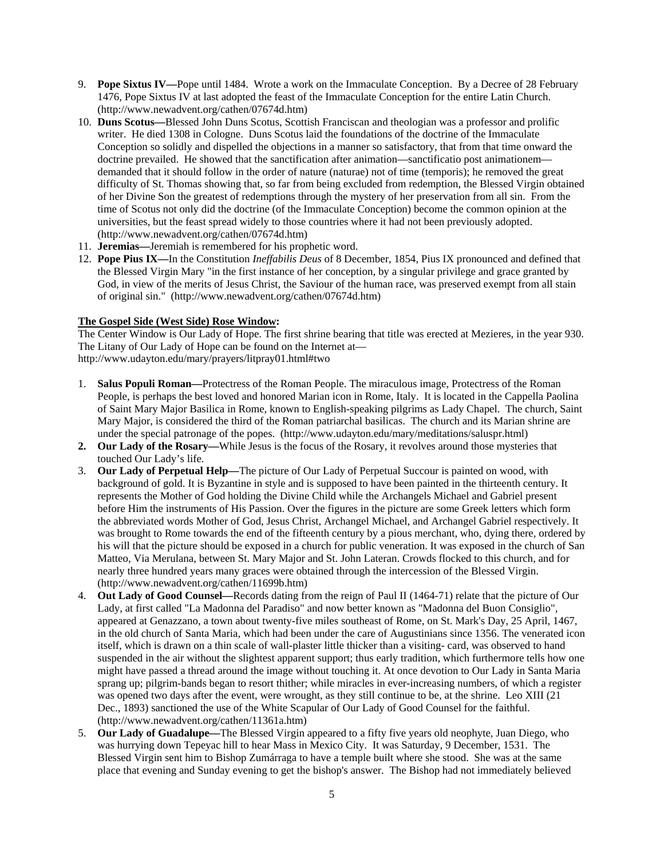- 9. **Pope Sixtus IV—**Pope until 1484. Wrote a work on the Immaculate Conception. By a Decree of 28 February 1476, Pope Sixtus IV at last adopted the feast of the Immaculate Conception for the entire Latin Church. (http://www.newadvent.org/cathen/07674d.htm)
- 10. **Duns Scotus—**Blessed John Duns Scotus, Scottish Franciscan and theologian was a professor and prolific writer. He died 1308 in Cologne. Duns Scotus laid the foundations of the doctrine of the Immaculate Conception so solidly and dispelled the objections in a manner so satisfactory, that from that time onward the doctrine prevailed. He showed that the sanctification after animation—sanctificatio post animationem demanded that it should follow in the order of nature (naturae) not of time (temporis); he removed the great difficulty of St. Thomas showing that, so far from being excluded from redemption, the Blessed Virgin obtained of her Divine Son the greatest of redemptions through the mystery of her preservation from all sin. From the time of Scotus not only did the doctrine (of the Immaculate Conception) become the common opinion at the universities, but the feast spread widely to those countries where it had not been previously adopted. (http://www.newadvent.org/cathen/07674d.htm)
- 11. **Jeremias—**Jeremiah is remembered for his prophetic word.
- 12. **Pope Pius IX—**In the Constitution *Ineffabilis Deus* of 8 December, 1854, Pius IX pronounced and defined that the Blessed Virgin Mary "in the first instance of her conception, by a singular privilege and grace granted by God, in view of the merits of Jesus Christ, the Saviour of the human race, was preserved exempt from all stain of original sin." (http://www.newadvent.org/cathen/07674d.htm)

### **The Gospel Side (West Side) Rose Window:**

The Center Window is Our Lady of Hope. The first shrine bearing that title was erected at Mezieres, in the year 930. The Litany of Our Lady of Hope can be found on the Internet at http://www.udayton.edu/mary/prayers/litpray01.html#two

- 1. **Salus Populi Roman—**Protectress of the Roman People. The miraculous image, Protectress of the Roman People, is perhaps the best loved and honored Marian icon in Rome, Italy. It is located in the Cappella Paolina of Saint Mary Major Basilica in Rome, known to English-speaking pilgrims as Lady Chapel. The church, Saint Mary Major, is considered the third of the Roman patriarchal basilicas. The church and its Marian shrine are under the special patronage of the popes. (http://www.udayton.edu/mary/meditations/saluspr.html)
- **2. Our Lady of the Rosary—**While Jesus is the focus of the Rosary, it revolves around those mysteries that touched Our Lady's life.
- 3. **Our Lady of Perpetual Help—**The picture of Our Lady of Perpetual Succour is painted on wood, with background of gold. It is Byzantine in style and is supposed to have been painted in the thirteenth century. It represents the Mother of God holding the Divine Child while the Archangels Michael and Gabriel present before Him the instruments of His Passion. Over the figures in the picture are some Greek letters which form the abbreviated words Mother of God, Jesus Christ, Archangel Michael, and Archangel Gabriel respectively. It was brought to Rome towards the end of the fifteenth century by a pious merchant, who, dying there, ordered by his will that the picture should be exposed in a church for public veneration. It was exposed in the church of San Matteo, Via Merulana, between St. Mary Major and St. John Lateran. Crowds flocked to this church, and for nearly three hundred years many graces were obtained through the intercession of the Blessed Virgin. (http://www.newadvent.org/cathen/11699b.htm)
- 4. **Out Lady of Good Counsel—**Records dating from the reign of Paul II (1464-71) relate that the picture of Our Lady, at first called "La Madonna del Paradiso" and now better known as "Madonna del Buon Consiglio", appeared at Genazzano, a town about twenty-five miles southeast of Rome, on St. Mark's Day, 25 April, 1467, in the old church of Santa Maria, which had been under the care of Augustinians since 1356. The venerated icon itself, which is drawn on a thin scale of wall-plaster little thicker than a visiting- card, was observed to hand suspended in the air without the slightest apparent support; thus early tradition, which furthermore tells how one might have passed a thread around the image without touching it. At once devotion to Our Lady in Santa Maria sprang up; pilgrim-bands began to resort thither; while miracles in ever-increasing numbers, of which a register was opened two days after the event, were wrought, as they still continue to be, at the shrine. Leo XIII (21 Dec., 1893) sanctioned the use of the White Scapular of Our Lady of Good Counsel for the faithful. (http://www.newadvent.org/cathen/11361a.htm)
- 5. **Our Lady of Guadalupe—**The Blessed Virgin appeared to a fifty five years old neophyte, Juan Diego, who was hurrying down Tepeyac hill to hear Mass in Mexico City. It was Saturday, 9 December, 1531. The Blessed Virgin sent him to Bishop Zumárraga to have a temple built where she stood. She was at the same place that evening and Sunday evening to get the bishop's answer. The Bishop had not immediately believed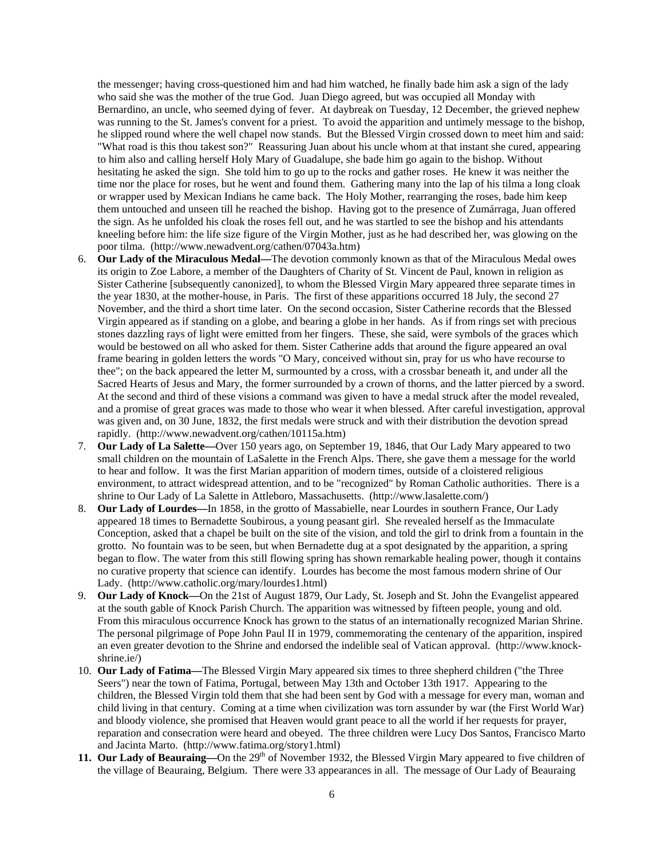the messenger; having cross-questioned him and had him watched, he finally bade him ask a sign of the lady who said she was the mother of the true God. Juan Diego agreed, but was occupied all Monday with Bernardino, an uncle, who seemed dying of fever. At daybreak on Tuesday, 12 December, the grieved nephew was running to the St. James's convent for a priest. To avoid the apparition and untimely message to the bishop, he slipped round where the well chapel now stands. But the Blessed Virgin crossed down to meet him and said: "What road is this thou takest son?" Reassuring Juan about his uncle whom at that instant she cured, appearing to him also and calling herself Holy Mary of Guadalupe, she bade him go again to the bishop. Without hesitating he asked the sign. She told him to go up to the rocks and gather roses. He knew it was neither the time nor the place for roses, but he went and found them. Gathering many into the lap of his tilma a long cloak or wrapper used by Mexican Indians he came back. The Holy Mother, rearranging the roses, bade him keep them untouched and unseen till he reached the bishop. Having got to the presence of Zumárraga, Juan offered the sign. As he unfolded his cloak the roses fell out, and he was startled to see the bishop and his attendants kneeling before him: the life size figure of the Virgin Mother, just as he had described her, was glowing on the poor tilma. (http://www.newadvent.org/cathen/07043a.htm)

- 6. **Our Lady of the Miraculous Medal—**The devotion commonly known as that of the Miraculous Medal owes its origin to Zoe Labore, a member of the Daughters of Charity of St. Vincent de Paul, known in religion as Sister Catherine [subsequently canonized], to whom the Blessed Virgin Mary appeared three separate times in the year 1830, at the mother-house, in Paris. The first of these apparitions occurred 18 July, the second 27 November, and the third a short time later. On the second occasion, Sister Catherine records that the Blessed Virgin appeared as if standing on a globe, and bearing a globe in her hands. As if from rings set with precious stones dazzling rays of light were emitted from her fingers. These, she said, were symbols of the graces which would be bestowed on all who asked for them. Sister Catherine adds that around the figure appeared an oval frame bearing in golden letters the words "O Mary, conceived without sin, pray for us who have recourse to thee"; on the back appeared the letter M, surmounted by a cross, with a crossbar beneath it, and under all the Sacred Hearts of Jesus and Mary, the former surrounded by a crown of thorns, and the latter pierced by a sword. At the second and third of these visions a command was given to have a medal struck after the model revealed, and a promise of great graces was made to those who wear it when blessed. After careful investigation, approval was given and, on 30 June, 1832, the first medals were struck and with their distribution the devotion spread rapidly. (http://www.newadvent.org/cathen/10115a.htm)
- 7. **Our Lady of La Salette—**Over 150 years ago, on September 19, 1846, that Our Lady Mary appeared to two small children on the mountain of LaSalette in the French Alps. There, she gave them a message for the world to hear and follow. It was the first Marian apparition of modern times, outside of a cloistered religious environment, to attract widespread attention, and to be "recognized" by Roman Catholic authorities. There is a shrine to Our Lady of La Salette in Attleboro, Massachusetts. (http://www.lasalette.com/)
- 8. **Our Lady of Lourdes—**In 1858, in the grotto of Massabielle, near Lourdes in southern France, Our Lady appeared 18 times to Bernadette Soubirous, a young peasant girl. She revealed herself as the Immaculate Conception, asked that a chapel be built on the site of the vision, and told the girl to drink from a fountain in the grotto. No fountain was to be seen, but when Bernadette dug at a spot designated by the apparition, a spring began to flow. The water from this still flowing spring has shown remarkable healing power, though it contains no curative property that science can identify. Lourdes has become the most famous modern shrine of Our Lady. (http://www.catholic.org/mary/lourdes1.html)
- 9. **Our Lady of Knock—**On the 21st of August 1879, Our Lady, St. Joseph and St. John the Evangelist appeared at the south gable of Knock Parish Church. The apparition was witnessed by fifteen people, young and old. From this miraculous occurrence Knock has grown to the status of an internationally recognized Marian Shrine. The personal pilgrimage of Pope John Paul II in 1979, commemorating the centenary of the apparition, inspired an even greater devotion to the Shrine and endorsed the indelible seal of Vatican approval. (http://www.knockshrine.ie/)
- 10. **Our Lady of Fatima—**The Blessed Virgin Mary appeared six times to three shepherd children ("the Three Seers") near the town of Fatima, Portugal, between May 13th and October 13th 1917. Appearing to the children, the Blessed Virgin told them that she had been sent by God with a message for every man, woman and child living in that century. Coming at a time when civilization was torn assunder by war (the First World War) and bloody violence, she promised that Heaven would grant peace to all the world if her requests for prayer, reparation and consecration were heard and obeyed. The three children were Lucy Dos Santos, Francisco Marto and Jacinta Marto. (http://www.fatima.org/story1.html)
- 11. Our Lady of Beauraing—On the 29<sup>th</sup> of November 1932, the Blessed Virgin Mary appeared to five children of the village of Beauraing, Belgium. There were 33 appearances in all. The message of Our Lady of Beauraing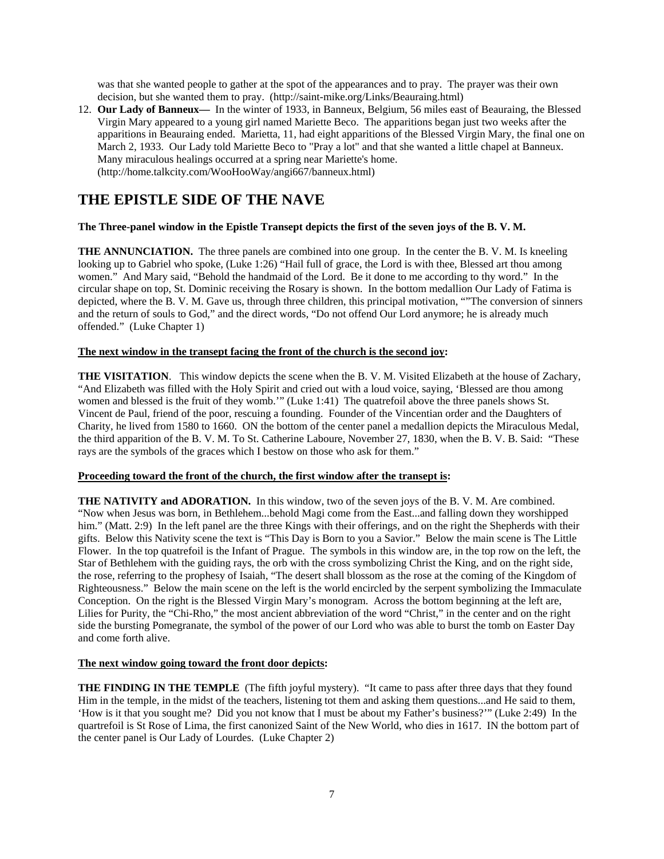was that she wanted people to gather at the spot of the appearances and to pray. The prayer was their own decision, but she wanted them to pray. (http://saint-mike.org/Links/Beauraing.html)

12. **Our Lady of Banneux—** In the winter of 1933, in Banneux, Belgium, 56 miles east of Beauraing, the Blessed Virgin Mary appeared to a young girl named Mariette Beco. The apparitions began just two weeks after the apparitions in Beauraing ended. Marietta, 11, had eight apparitions of the Blessed Virgin Mary, the final one on March 2, 1933. Our Lady told Mariette Beco to "Pray a lot" and that she wanted a little chapel at Banneux. Many miraculous healings occurred at a spring near Mariette's home. (http://home.talkcity.com/WooHooWay/angi667/banneux.html)

## **THE EPISTLE SIDE OF THE NAVE**

### **The Three-panel window in the Epistle Transept depicts the first of the seven joys of the B. V. M.**

**THE ANNUNCIATION.** The three panels are combined into one group. In the center the B.V.M. Is kneeling looking up to Gabriel who spoke, (Luke 1:26) "Hail full of grace, the Lord is with thee, Blessed art thou among women." And Mary said, "Behold the handmaid of the Lord. Be it done to me according to thy word." In the circular shape on top, St. Dominic receiving the Rosary is shown. In the bottom medallion Our Lady of Fatima is depicted, where the B. V. M. Gave us, through three children, this principal motivation, ""The conversion of sinners and the return of souls to God," and the direct words, "Do not offend Our Lord anymore; he is already much offended." (Luke Chapter 1)

### **The next window in the transept facing the front of the church is the second joy:**

**THE VISITATION**. This window depicts the scene when the B. V. M. Visited Elizabeth at the house of Zachary, "And Elizabeth was filled with the Holy Spirit and cried out with a loud voice, saying, 'Blessed are thou among women and blessed is the fruit of they womb.'" (Luke 1:41) The quatrefoil above the three panels shows St. Vincent de Paul, friend of the poor, rescuing a founding. Founder of the Vincentian order and the Daughters of Charity, he lived from 1580 to 1660. ON the bottom of the center panel a medallion depicts the Miraculous Medal, the third apparition of the B. V. M. To St. Catherine Laboure, November 27, 1830, when the B. V. B. Said: "These rays are the symbols of the graces which I bestow on those who ask for them."

### **Proceeding toward the front of the church, the first window after the transept is:**

**THE NATIVITY and ADORATION.** In this window, two of the seven joys of the B. V. M. Are combined. "Now when Jesus was born, in Bethlehem...behold Magi come from the East...and falling down they worshipped him." (Matt. 2:9) In the left panel are the three Kings with their offerings, and on the right the Shepherds with their gifts. Below this Nativity scene the text is "This Day is Born to you a Savior." Below the main scene is The Little Flower. In the top quatrefoil is the Infant of Prague. The symbols in this window are, in the top row on the left, the Star of Bethlehem with the guiding rays, the orb with the cross symbolizing Christ the King, and on the right side, the rose, referring to the prophesy of Isaiah, "The desert shall blossom as the rose at the coming of the Kingdom of Righteousness." Below the main scene on the left is the world encircled by the serpent symbolizing the Immaculate Conception. On the right is the Blessed Virgin Mary's monogram. Across the bottom beginning at the left are, Lilies for Purity, the "Chi-Rho," the most ancient abbreviation of the word "Christ," in the center and on the right side the bursting Pomegranate, the symbol of the power of our Lord who was able to burst the tomb on Easter Day and come forth alive.

#### **The next window going toward the front door depicts:**

**THE FINDING IN THE TEMPLE** (The fifth joyful mystery). "It came to pass after three days that they found Him in the temple, in the midst of the teachers, listening tot them and asking them questions...and He said to them, 'How is it that you sought me? Did you not know that I must be about my Father's business?'" (Luke 2:49) In the quartrefoil is St Rose of Lima, the first canonized Saint of the New World, who dies in 1617. IN the bottom part of the center panel is Our Lady of Lourdes. (Luke Chapter 2)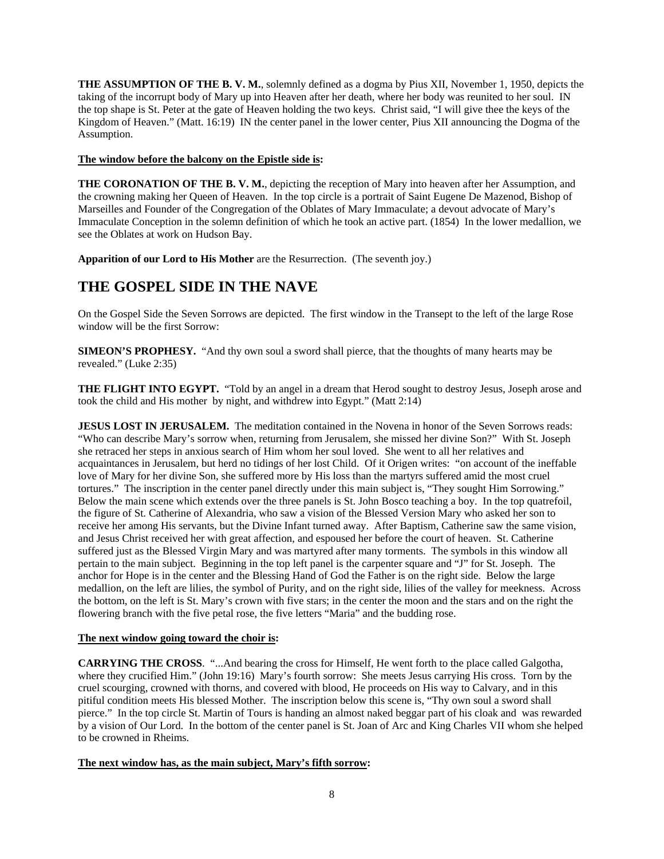**THE ASSUMPTION OF THE B. V. M.**, solemnly defined as a dogma by Pius XII, November 1, 1950, depicts the taking of the incorrupt body of Mary up into Heaven after her death, where her body was reunited to her soul. IN the top shape is St. Peter at the gate of Heaven holding the two keys. Christ said, "I will give thee the keys of the Kingdom of Heaven." (Matt. 16:19) IN the center panel in the lower center, Pius XII announcing the Dogma of the Assumption.

### **The window before the balcony on the Epistle side is:**

**THE CORONATION OF THE B. V. M.**, depicting the reception of Mary into heaven after her Assumption, and the crowning making her Queen of Heaven. In the top circle is a portrait of Saint Eugene De Mazenod, Bishop of Marseilles and Founder of the Congregation of the Oblates of Mary Immaculate; a devout advocate of Mary's Immaculate Conception in the solemn definition of which he took an active part. (1854) In the lower medallion, we see the Oblates at work on Hudson Bay.

**Apparition of our Lord to His Mother** are the Resurrection. (The seventh joy.)

# **THE GOSPEL SIDE IN THE NAVE**

On the Gospel Side the Seven Sorrows are depicted. The first window in the Transept to the left of the large Rose window will be the first Sorrow:

**SIMEON'S PROPHESY.** "And thy own soul a sword shall pierce, that the thoughts of many hearts may be revealed." (Luke 2:35)

**THE FLIGHT INTO EGYPT.** "Told by an angel in a dream that Herod sought to destroy Jesus, Joseph arose and took the child and His mother by night, and withdrew into Egypt." (Matt 2:14)

**JESUS LOST IN JERUSALEM.** The meditation contained in the Novena in honor of the Seven Sorrows reads: "Who can describe Mary's sorrow when, returning from Jerusalem, she missed her divine Son?" With St. Joseph she retraced her steps in anxious search of Him whom her soul loved. She went to all her relatives and acquaintances in Jerusalem, but herd no tidings of her lost Child. Of it Origen writes: "on account of the ineffable love of Mary for her divine Son, she suffered more by His loss than the martyrs suffered amid the most cruel tortures." The inscription in the center panel directly under this main subject is, "They sought Him Sorrowing." Below the main scene which extends over the three panels is St. John Bosco teaching a boy. In the top quatrefoil, the figure of St. Catherine of Alexandria, who saw a vision of the Blessed Version Mary who asked her son to receive her among His servants, but the Divine Infant turned away. After Baptism, Catherine saw the same vision, and Jesus Christ received her with great affection, and espoused her before the court of heaven. St. Catherine suffered just as the Blessed Virgin Mary and was martyred after many torments. The symbols in this window all pertain to the main subject. Beginning in the top left panel is the carpenter square and "J" for St. Joseph. The anchor for Hope is in the center and the Blessing Hand of God the Father is on the right side. Below the large medallion, on the left are lilies, the symbol of Purity, and on the right side, lilies of the valley for meekness. Across the bottom, on the left is St. Mary's crown with five stars; in the center the moon and the stars and on the right the flowering branch with the five petal rose, the five letters "Maria" and the budding rose.

### **The next window going toward the choir is:**

**CARRYING THE CROSS**. "...And bearing the cross for Himself, He went forth to the place called Galgotha, where they crucified Him." (John 19:16) Mary's fourth sorrow: She meets Jesus carrying His cross. Torn by the cruel scourging, crowned with thorns, and covered with blood, He proceeds on His way to Calvary, and in this pitiful condition meets His blessed Mother. The inscription below this scene is, "Thy own soul a sword shall pierce." In the top circle St. Martin of Tours is handing an almost naked beggar part of his cloak and was rewarded by a vision of Our Lord. In the bottom of the center panel is St. Joan of Arc and King Charles VII whom she helped to be crowned in Rheims.

#### **The next window has, as the main subject, Mary's fifth sorrow:**